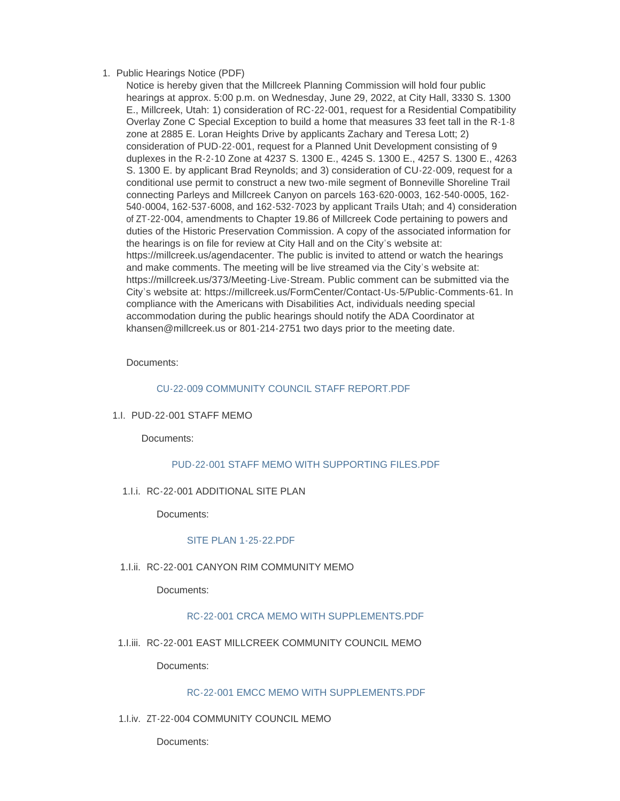# 1. Public Hearings Notice (PDF)

Notice is hereby given that the Millcreek Planning Commission will hold four public hearings at approx. 5:00 p.m. on Wednesday, June 29, 2022, at City Hall, 3330 S. 1300 E., Millcreek, Utah: 1) consideration of RC-22-001, request for a Residential Compatibility Overlay Zone C Special Exception to build a home that measures 33 feet tall in the R-1-8 zone at 2885 E. Loran Heights Drive by applicants Zachary and Teresa Lott; 2) consideration of PUD-22-001, request for a Planned Unit Development consisting of 9 duplexes in the R-2-10 Zone at 4237 S. 1300 E., 4245 S. 1300 E., 4257 S. 1300 E., 4263 S. 1300 E. by applicant Brad Reynolds; and 3) consideration of CU-22-009, request for a conditional use permit to construct a new two-mile segment of Bonneville Shoreline Trail connecting Parleys and Millcreek Canyon on parcels 163-620-0003, 162-540-0005, 162- 540-0004, 162-537-6008, and 162-532-7023 by applicant Trails Utah; and 4) consideration of ZT-22-004, amendments to Chapter 19.86 of Millcreek Code pertaining to powers and duties of the Historic Preservation Commission. A copy of the associated information for the hearings is on file for review at City Hall and on the City's website at: https://millcreek.us/agendacenter. The public is invited to attend or watch the hearings and make comments. The meeting will be live streamed via the City's website at: https://millcreek.us/373/Meeting-Live-Stream. Public comment can be submitted via the City's website at: https://millcreek.us/FormCenter/Contact-Us-5/Public-Comments-61. In compliance with the Americans with Disabilities Act, individuals needing special accommodation during the public hearings should notify the ADA Coordinator at khansen@millcreek.us or 801-214-2751 two days prior to the meeting date.

### Documents:

### [CU-22-009 COMMUNITY COUNCIL STAFF REPORT.PDF](https://millcreek.us/AgendaCenter/ViewFile/Item/406?fileID=18458)

1.I. PUD-22-001 STAFF MEMO

Documents:

# PUD-22-001 STAFF MEMO WITH SUPPORTING FILES PDF

1.I.i. RC-22-001 ADDITIONAL SITE PLAN

Documents:

# [SITE PLAN 1-25-22.PDF](https://millcreek.us/AgendaCenter/ViewFile/Item/410?fileID=17986)

1.I.ii. RC-22-001 CANYON RIM COMMUNITY MEMO

Documents:

# [RC-22-001 CRCA MEMO WITH SUPPLEMENTS.PDF](https://millcreek.us/AgendaCenter/ViewFile/Item/407?fileID=17980)

1.I.iii. RC-22-001 EAST MILLCREEK COMMUNITY COUNCIL MEMO

Documents:

# [RC-22-001 EMCC MEMO WITH SUPPLEMENTS.PDF](https://millcreek.us/AgendaCenter/ViewFile/Item/408?fileID=17981)

1.I.iv. ZT-22-004 COMMUNITY COUNCIL MEMO

Documents: